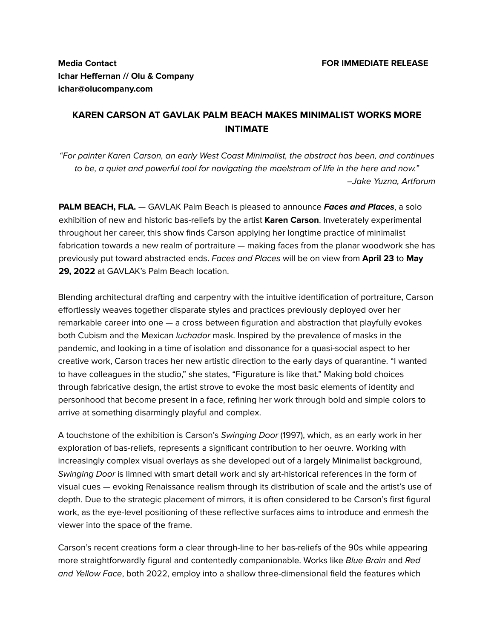## **Media Contact FOR IMMEDIATE RELEASE Ichar Heffernan // Olu & Company ichar@olucompany.com**

## **KAREN CARSON AT GAVLAK PALM BEACH MAKES MINIMALIST WORKS MORE INTIMATE**

"For painter Karen Carson, an early West Coast Minimalist, the abstract has been, and continues to be, a quiet and powerful tool for navigating the maelstrom of life in the here and now." –Jake Yuzna, Artforum

**PALM BEACH, FLA.** — GAVLAK Palm Beach is pleased to announce **Faces and Places**, a solo exhibition of new and historic bas-reliefs by the artist **Karen Carson**. Inveterately experimental throughout her career, this show finds Carson applying her longtime practice of minimalist fabrication towards a new realm of portraiture — making faces from the planar woodwork she has previously put toward abstracted ends. Faces and Places will be on view from **April 23** to **May 29, 2022** at GAVLAK's Palm Beach location.

Blending architectural drafting and carpentry with the intuitive identification of portraiture, Carson effortlessly weaves together disparate styles and practices previously deployed over her remarkable career into one — a cross between figuration and abstraction that playfully evokes both Cubism and the Mexican *luchador* mask. Inspired by the prevalence of masks in the pandemic, and looking in a time of isolation and dissonance for a quasi-social aspect to her creative work, Carson traces her new artistic direction to the early days of quarantine. "I wanted to have colleagues in the studio," she states, "Figurature is like that." Making bold choices through fabricative design, the artist strove to evoke the most basic elements of identity and personhood that become present in a face, refining her work through bold and simple colors to arrive at something disarmingly playful and complex.

A touchstone of the exhibition is Carson's Swinging Door (1997), which, as an early work in her exploration of bas-reliefs, represents a significant contribution to her oeuvre. Working with increasingly complex visual overlays as she developed out of a largely Minimalist background, Swinging Door is limned with smart detail work and sly art-historical references in the form of visual cues — evoking Renaissance realism through its distribution of scale and the artist's use of depth. Due to the strategic placement of mirrors, it is often considered to be Carson's first figural work, as the eye-level positioning of these reflective surfaces aims to introduce and enmesh the viewer into the space of the frame.

Carson's recent creations form a clear through-line to her bas-reliefs of the 90s while appearing more straightforwardly figural and contentedly companionable. Works like Blue Brain and Red and Yellow Face, both 2022, employ into a shallow three-dimensional field the features which